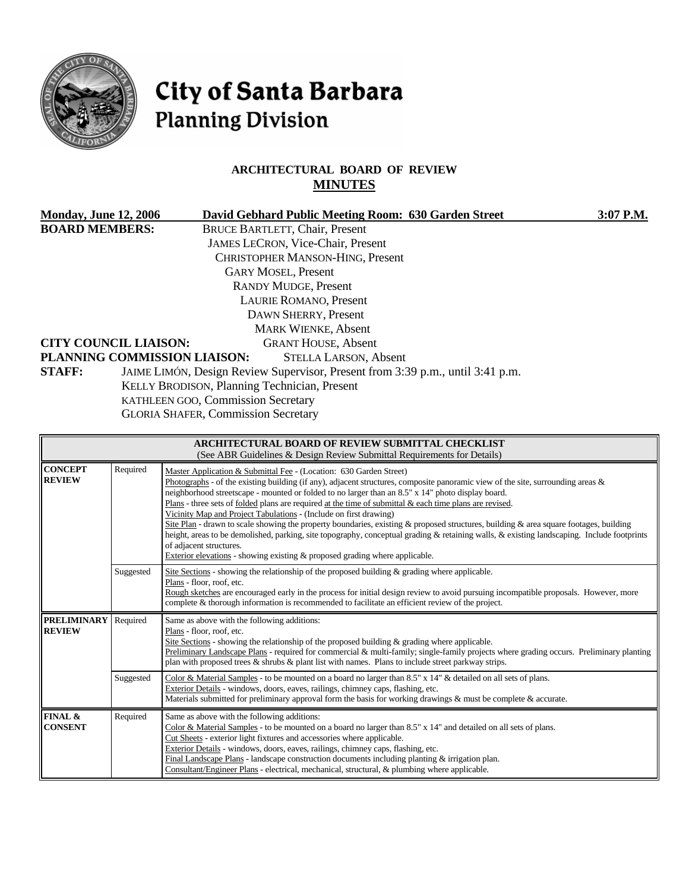

# City of Santa Barbara **Planning Division**

# **ARCHITECTURAL BOARD OF REVIEW MINUTES**

| <b>Monday, June 12, 2006</b>                                                       | David Gebhard Public Meeting Room: 630 Garden Street                           | 3:07 P.M. |  |  |  |
|------------------------------------------------------------------------------------|--------------------------------------------------------------------------------|-----------|--|--|--|
| <b>BOARD MEMBERS:</b>                                                              | <b>BRUCE BARTLETT, Chair, Present</b>                                          |           |  |  |  |
|                                                                                    | <b>JAMES LECRON, Vice-Chair, Present</b>                                       |           |  |  |  |
|                                                                                    | CHRISTOPHER MANSON-HING, Present                                               |           |  |  |  |
|                                                                                    | <b>GARY MOSEL, Present</b>                                                     |           |  |  |  |
| <b>RANDY MUDGE, Present</b>                                                        |                                                                                |           |  |  |  |
| <b>LAURIE ROMANO, Present</b>                                                      |                                                                                |           |  |  |  |
| DAWN SHERRY, Present                                                               |                                                                                |           |  |  |  |
| <b>MARK WIENKE, Absent</b>                                                         |                                                                                |           |  |  |  |
| <b>CITY COUNCIL LIAISON:</b>                                                       | <b>GRANT HOUSE, Absent</b>                                                     |           |  |  |  |
|                                                                                    | PLANNING COMMISSION LIAISON:<br><b>STELLA LARSON, Absent</b>                   |           |  |  |  |
| <b>STAFF:</b>                                                                      | JAIME LIMÓN, Design Review Supervisor, Present from 3:39 p.m., until 3:41 p.m. |           |  |  |  |
| KELLY BRODISON, Planning Technician, Present<br>KATHLEEN GOO, Commission Secretary |                                                                                |           |  |  |  |
|                                                                                    |                                                                                |           |  |  |  |
|                                                                                    |                                                                                |           |  |  |  |

| <b>ARCHITECTURAL BOARD OF REVIEW SUBMITTAL CHECKLIST</b><br>(See ABR Guidelines & Design Review Submittal Requirements for Details) |           |                                                                                                                                                                                                                                                                                                                                                                                                                                                                                                                                                                                                                                                                                                                                                                                                                                                                                                   |  |  |
|-------------------------------------------------------------------------------------------------------------------------------------|-----------|---------------------------------------------------------------------------------------------------------------------------------------------------------------------------------------------------------------------------------------------------------------------------------------------------------------------------------------------------------------------------------------------------------------------------------------------------------------------------------------------------------------------------------------------------------------------------------------------------------------------------------------------------------------------------------------------------------------------------------------------------------------------------------------------------------------------------------------------------------------------------------------------------|--|--|
| <b>CONCEPT</b><br><b>REVIEW</b>                                                                                                     | Required  | Master Application & Submittal Fee - (Location: 630 Garden Street)<br>Photographs - of the existing building (if any), adjacent structures, composite panoramic view of the site, surrounding areas $\&$<br>neighborhood streetscape - mounted or folded to no larger than an 8.5" x 14" photo display board.<br>Plans - three sets of folded plans are required at the time of submittal & each time plans are revised.<br>Vicinity Map and Project Tabulations - (Include on first drawing)<br>Site Plan - drawn to scale showing the property boundaries, existing & proposed structures, building & area square footages, building<br>height, areas to be demolished, parking, site topography, conceptual grading & retaining walls, & existing landscaping. Include footprints<br>of adjacent structures.<br>Exterior elevations - showing existing $\&$ proposed grading where applicable. |  |  |
|                                                                                                                                     | Suggested | Site Sections - showing the relationship of the proposed building $\&$ grading where applicable.<br>Plans - floor, roof, etc.<br>Rough sketches are encouraged early in the process for initial design review to avoid pursuing incompatible proposals. However, more<br>complete & thorough information is recommended to facilitate an efficient review of the project.                                                                                                                                                                                                                                                                                                                                                                                                                                                                                                                         |  |  |
| <b>PRELIMINARY</b><br>Required<br>Same as above with the following additions:<br><b>REVIEW</b><br>Plans - floor, roof, etc.         |           | Site Sections - showing the relationship of the proposed building $\&$ grading where applicable.<br>Preliminary Landscape Plans - required for commercial & multi-family; single-family projects where grading occurs. Preliminary planting<br>plan with proposed trees $\&$ shrubs $\&$ plant list with names. Plans to include street parkway strips.                                                                                                                                                                                                                                                                                                                                                                                                                                                                                                                                           |  |  |
|                                                                                                                                     | Suggested | Color & Material Samples - to be mounted on a board no larger than 8.5" x 14" & detailed on all sets of plans.<br>Exterior Details - windows, doors, eaves, railings, chimney caps, flashing, etc.<br>Materials submitted for preliminary approval form the basis for working drawings & must be complete & accurate.                                                                                                                                                                                                                                                                                                                                                                                                                                                                                                                                                                             |  |  |
| FINAL &<br><b>CONSENT</b>                                                                                                           | Required  | Same as above with the following additions:<br>Color & Material Samples - to be mounted on a board no larger than $8.5"$ x 14" and detailed on all sets of plans.<br>Cut Sheets - exterior light fixtures and accessories where applicable.<br>Exterior Details - windows, doors, eaves, railings, chimney caps, flashing, etc.<br>Final Landscape Plans - landscape construction documents including planting & irrigation plan.<br>Consultant/Engineer Plans - electrical, mechanical, structural, & plumbing where applicable.                                                                                                                                                                                                                                                                                                                                                                 |  |  |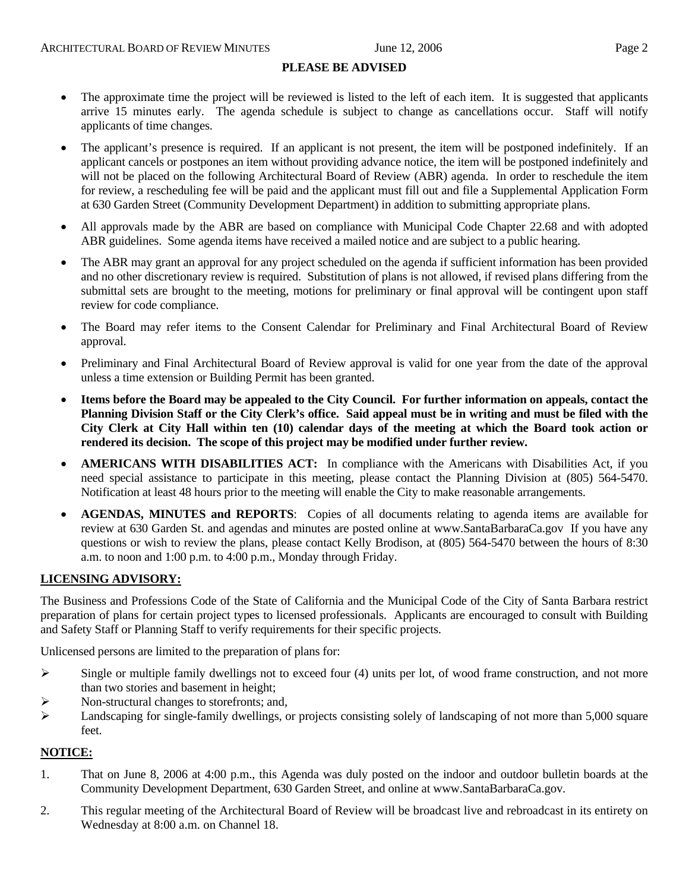#### **PLEASE BE ADVISED**

- The approximate time the project will be reviewed is listed to the left of each item. It is suggested that applicants arrive 15 minutes early. The agenda schedule is subject to change as cancellations occur. Staff will notify applicants of time changes.
- The applicant's presence is required. If an applicant is not present, the item will be postponed indefinitely. If an applicant cancels or postpones an item without providing advance notice, the item will be postponed indefinitely and will not be placed on the following Architectural Board of Review (ABR) agenda. In order to reschedule the item for review, a rescheduling fee will be paid and the applicant must fill out and file a Supplemental Application Form at 630 Garden Street (Community Development Department) in addition to submitting appropriate plans.
- All approvals made by the ABR are based on compliance with Municipal Code Chapter 22.68 and with adopted ABR guidelines. Some agenda items have received a mailed notice and are subject to a public hearing.
- The ABR may grant an approval for any project scheduled on the agenda if sufficient information has been provided and no other discretionary review is required. Substitution of plans is not allowed, if revised plans differing from the submittal sets are brought to the meeting, motions for preliminary or final approval will be contingent upon staff review for code compliance.
- The Board may refer items to the Consent Calendar for Preliminary and Final Architectural Board of Review approval.
- Preliminary and Final Architectural Board of Review approval is valid for one year from the date of the approval unless a time extension or Building Permit has been granted.
- **Items before the Board may be appealed to the City Council. For further information on appeals, contact the Planning Division Staff or the City Clerk's office. Said appeal must be in writing and must be filed with the City Clerk at City Hall within ten (10) calendar days of the meeting at which the Board took action or rendered its decision. The scope of this project may be modified under further review.**
- **AMERICANS WITH DISABILITIES ACT:** In compliance with the Americans with Disabilities Act, if you need special assistance to participate in this meeting, please contact the Planning Division at (805) 564-5470. Notification at least 48 hours prior to the meeting will enable the City to make reasonable arrangements.
- **AGENDAS, MINUTES and REPORTS**: Copies of all documents relating to agenda items are available for review at 630 Garden St. and agendas and minutes are posted online at [www.SantaBarbaraCa.gov](http://www.santabarbaraca.gov/) If you have any questions or wish to review the plans, please contact Kelly Brodison, at (805) 564-5470 between the hours of 8:30 a.m. to noon and 1:00 p.m. to 4:00 p.m., Monday through Friday.

#### **LICENSING ADVISORY:**

The Business and Professions Code of the State of California and the Municipal Code of the City of Santa Barbara restrict preparation of plans for certain project types to licensed professionals. Applicants are encouraged to consult with Building and Safety Staff or Planning Staff to verify requirements for their specific projects.

Unlicensed persons are limited to the preparation of plans for:

- $\triangleright$  Single or multiple family dwellings not to exceed four (4) units per lot, of wood frame construction, and not more than two stories and basement in height;
- ¾ Non-structural changes to storefronts; and,
- $\blacktriangleright$  Landscaping for single-family dwellings, or projects consisting solely of landscaping of not more than 5,000 square feet.

#### **NOTICE:**

- 1. That on June 8, 2006 at 4:00 p.m., this Agenda was duly posted on the indoor and outdoor bulletin boards at the Community Development Department, 630 Garden Street, and online at www.SantaBarbaraCa.gov.
- 2. This regular meeting of the Architectural Board of Review will be broadcast live and rebroadcast in its entirety on Wednesday at 8:00 a.m. on Channel 18.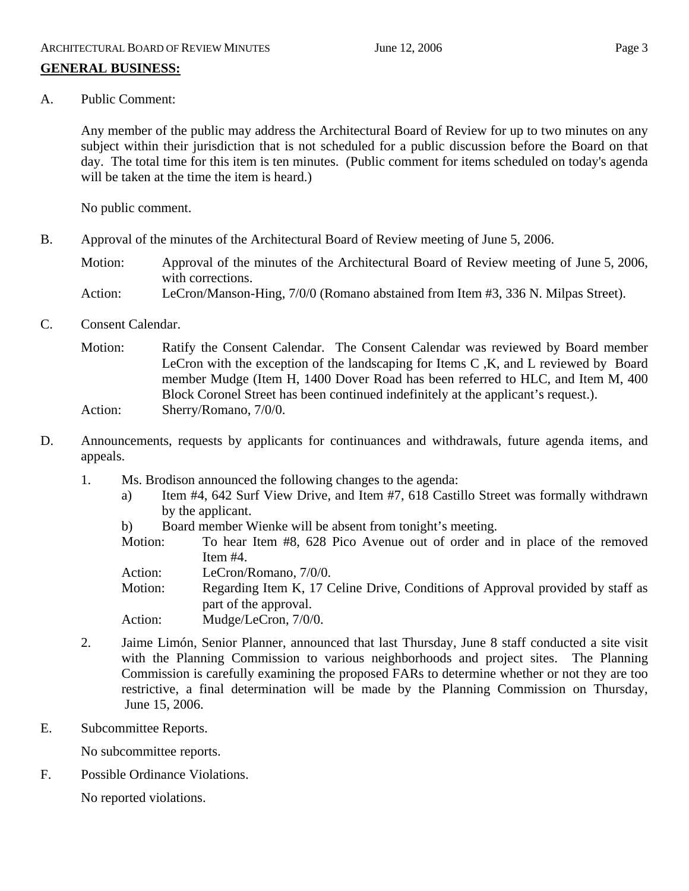A. Public Comment:

Any member of the public may address the Architectural Board of Review for up to two minutes on any subject within their jurisdiction that is not scheduled for a public discussion before the Board on that day. The total time for this item is ten minutes. (Public comment for items scheduled on today's agenda will be taken at the time the item is heard.)

No public comment.

B. Approval of the minutes of the Architectural Board of Review meeting of June 5, 2006.

Motion: Approval of the minutes of the Architectural Board of Review meeting of June 5, 2006, with corrections. Action: LeCron/Manson-Hing, 7/0/0 (Romano abstained from Item #3, 336 N. Milpas Street).

C. Consent Calendar.

Motion: Ratify the Consent Calendar. The Consent Calendar was reviewed by Board member LeCron with the exception of the landscaping for Items C ,K, and L reviewed by Board member Mudge (Item H, 1400 Dover Road has been referred to HLC, and Item M, 400 Block Coronel Street has been continued indefinitely at the applicant's request.). Action: Sherry/Romano, 7/0/0.

- D. Announcements, requests by applicants for continuances and withdrawals, future agenda items, and appeals.
	- 1. Ms. Brodison announced the following changes to the agenda:
		- a) Item #4, 642 Surf View Drive, and Item #7, 618 Castillo Street was formally withdrawn by the applicant.
		- b) Board member Wienke will be absent from tonight's meeting.
		- Motion: To hear Item #8, 628 Pico Avenue out of order and in place of the removed Item #4.
		- Action: LeCron/Romano, 7/0/0.

Motion: Regarding Item K, 17 Celine Drive, Conditions of Approval provided by staff as part of the approval.

- Action: Mudge/LeCron, 7/0/0.
- 2. Jaime Limón, Senior Planner, announced that last Thursday, June 8 staff conducted a site visit with the Planning Commission to various neighborhoods and project sites. The Planning Commission is carefully examining the proposed FARs to determine whether or not they are too restrictive, a final determination will be made by the Planning Commission on Thursday, June 15, 2006.
- E. Subcommittee Reports.

No subcommittee reports.

F. Possible Ordinance Violations.

No reported violations.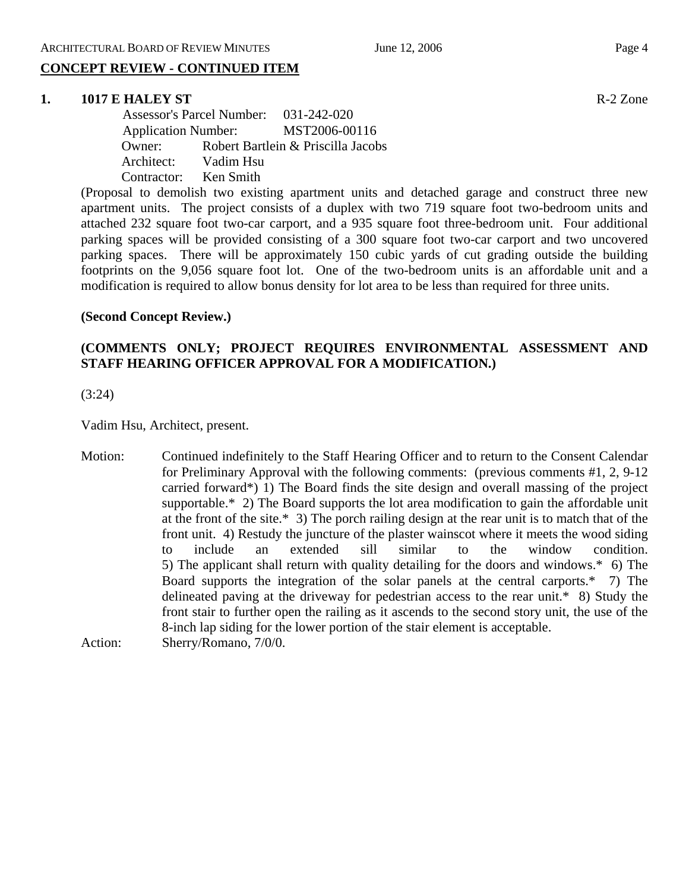# **CONCEPT REVIEW - CONTINUED ITEM**

#### **1. 1017 E HALEY ST R-2** Zone

 Assessor's Parcel Number: 031-242-020 Application Number: MST2006-00116 Owner: Robert Bartlein & Priscilla Jacobs Architect: Vadim Hsu Contractor: Ken Smith

(Proposal to demolish two existing apartment units and detached garage and construct three new apartment units. The project consists of a duplex with two 719 square foot two-bedroom units and attached 232 square foot two-car carport, and a 935 square foot three-bedroom unit. Four additional parking spaces will be provided consisting of a 300 square foot two-car carport and two uncovered parking spaces. There will be approximately 150 cubic yards of cut grading outside the building footprints on the 9,056 square foot lot. One of the two-bedroom units is an affordable unit and a modification is required to allow bonus density for lot area to be less than required for three units.

#### **(Second Concept Review.)**

### **(COMMENTS ONLY; PROJECT REQUIRES ENVIRONMENTAL ASSESSMENT AND STAFF HEARING OFFICER APPROVAL FOR A MODIFICATION.)**

(3:24)

Vadim Hsu, Architect, present.

Motion: Continued indefinitely to the Staff Hearing Officer and to return to the Consent Calendar for Preliminary Approval with the following comments: (previous comments #1, 2, 9-12 carried forward\*) 1) The Board finds the site design and overall massing of the project supportable.\* 2) The Board supports the lot area modification to gain the affordable unit at the front of the site.\* 3) The porch railing design at the rear unit is to match that of the front unit. 4) Restudy the juncture of the plaster wainscot where it meets the wood siding to include an extended sill similar to the window condition. 5) The applicant shall return with quality detailing for the doors and windows.\* 6) The Board supports the integration of the solar panels at the central carports.\* 7) The delineated paving at the driveway for pedestrian access to the rear unit.\* 8) Study the front stair to further open the railing as it ascends to the second story unit, the use of the 8-inch lap siding for the lower portion of the stair element is acceptable. Action: Sherry/Romano, 7/0/0.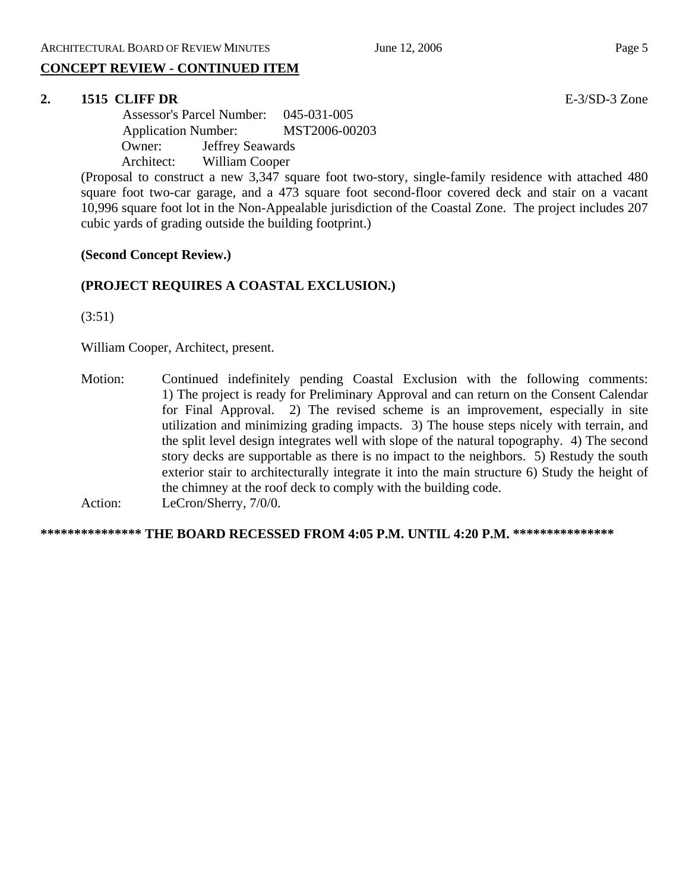# **CONCEPT REVIEW - CONTINUED ITEM**

#### **2. 1515 CLIFF DR** E-3/SD-3 Zone

 Assessor's Parcel Number: 045-031-005 Application Number: MST2006-00203 Owner: Jeffrey Seawards Architect: William Cooper

(Proposal to construct a new 3,347 square foot two-story, single-family residence with attached 480 square foot two-car garage, and a 473 square foot second-floor covered deck and stair on a vacant 10,996 square foot lot in the Non-Appealable jurisdiction of the Coastal Zone. The project includes 207 cubic yards of grading outside the building footprint.)

#### **(Second Concept Review.)**

#### **(PROJECT REQUIRES A COASTAL EXCLUSION.)**

(3:51)

William Cooper, Architect, present.

Motion: Continued indefinitely pending Coastal Exclusion with the following comments: 1) The project is ready for Preliminary Approval and can return on the Consent Calendar for Final Approval. 2) The revised scheme is an improvement, especially in site utilization and minimizing grading impacts. 3) The house steps nicely with terrain, and the split level design integrates well with slope of the natural topography. 4) The second story decks are supportable as there is no impact to the neighbors. 5) Restudy the south exterior stair to architecturally integrate it into the main structure 6) Study the height of the chimney at the roof deck to comply with the building code. Action: LeCron/Sherry, 7/0/0.

**\*\*\*\*\*\*\*\*\*\*\*\*\*\*\* THE BOARD RECESSED FROM 4:05 P.M. UNTIL 4:20 P.M. \*\*\*\*\*\*\*\*\*\*\*\*\*\*\***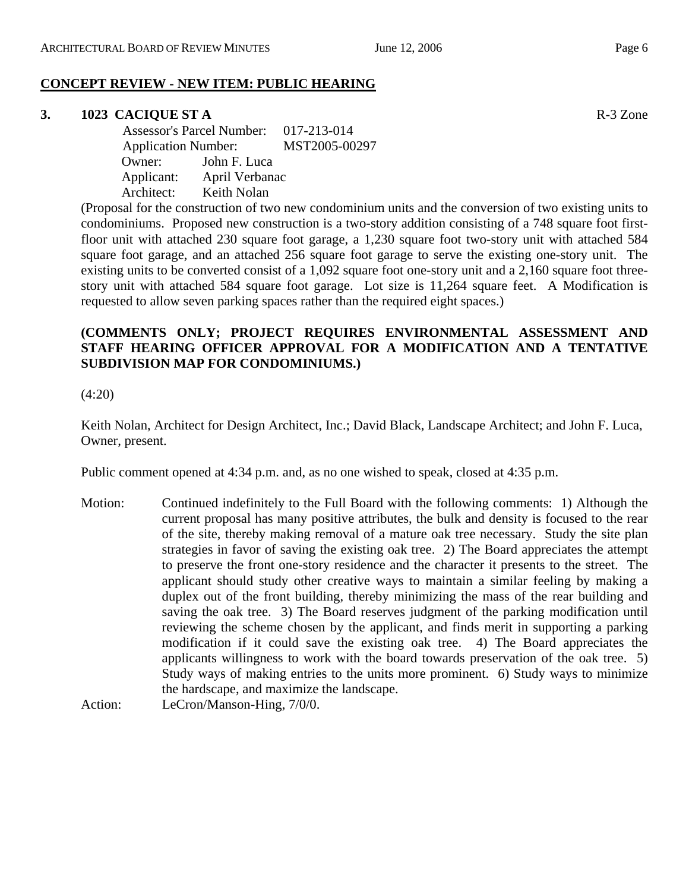### **CONCEPT REVIEW - NEW ITEM: PUBLIC HEARING**

#### **3. 1023 CACIQUE ST A** R-3 Zone

 Assessor's Parcel Number: 017-213-014 Application Number: MST2005-00297 Owner: John F. Luca Applicant: April Verbanac Architect: Keith Nolan

(Proposal for the construction of two new condominium units and the conversion of two existing units to condominiums. Proposed new construction is a two-story addition consisting of a 748 square foot firstfloor unit with attached 230 square foot garage, a 1,230 square foot two-story unit with attached 584 square foot garage, and an attached 256 square foot garage to serve the existing one-story unit. The existing units to be converted consist of a 1,092 square foot one-story unit and a 2,160 square foot threestory unit with attached 584 square foot garage. Lot size is 11,264 square feet. A Modification is requested to allow seven parking spaces rather than the required eight spaces.)

### **(COMMENTS ONLY; PROJECT REQUIRES ENVIRONMENTAL ASSESSMENT AND STAFF HEARING OFFICER APPROVAL FOR A MODIFICATION AND A TENTATIVE SUBDIVISION MAP FOR CONDOMINIUMS.)**

(4:20)

Keith Nolan, Architect for Design Architect, Inc.; David Black, Landscape Architect; and John F. Luca, Owner, present.

Public comment opened at 4:34 p.m. and, as no one wished to speak, closed at 4:35 p.m.

Motion: Continued indefinitely to the Full Board with the following comments: 1) Although the current proposal has many positive attributes, the bulk and density is focused to the rear of the site, thereby making removal of a mature oak tree necessary. Study the site plan strategies in favor of saving the existing oak tree. 2) The Board appreciates the attempt to preserve the front one-story residence and the character it presents to the street. The applicant should study other creative ways to maintain a similar feeling by making a duplex out of the front building, thereby minimizing the mass of the rear building and saving the oak tree. 3) The Board reserves judgment of the parking modification until reviewing the scheme chosen by the applicant, and finds merit in supporting a parking modification if it could save the existing oak tree. 4) The Board appreciates the applicants willingness to work with the board towards preservation of the oak tree. 5) Study ways of making entries to the units more prominent. 6) Study ways to minimize the hardscape, and maximize the landscape.

Action: LeCron/Manson-Hing, 7/0/0.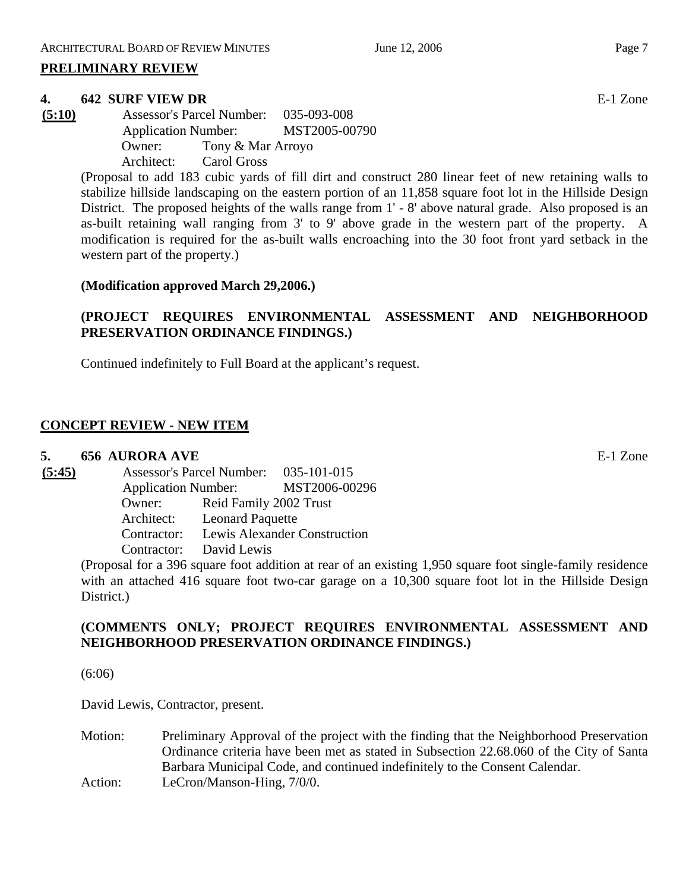#### **PRELIMINARY REVIEW**

#### **4. 642 SURF VIEW DR** E-1 Zone

**(5:10)** Assessor's Parcel Number: 035-093-008 Application Number: MST2005-00790 Owner: Tony & Mar Arroyo Architect: Carol Gross

> (Proposal to add 183 cubic yards of fill dirt and construct 280 linear feet of new retaining walls to stabilize hillside landscaping on the eastern portion of an 11,858 square foot lot in the Hillside Design District. The proposed heights of the walls range from 1' - 8' above natural grade. Also proposed is an as-built retaining wall ranging from 3' to 9' above grade in the western part of the property. A modification is required for the as-built walls encroaching into the 30 foot front yard setback in the western part of the property.)

#### **(Modification approved March 29,2006.)**

# **(PROJECT REQUIRES ENVIRONMENTAL ASSESSMENT AND NEIGHBORHOOD PRESERVATION ORDINANCE FINDINGS.)**

Continued indefinitely to Full Board at the applicant's request.

### **CONCEPT REVIEW - NEW ITEM**

#### **5. 656 AURORA AVE** E-1 Zone

**(5:45)** Assessor's Parcel Number: 035-101-015 Application Number: MST2006-00296 Owner: Reid Family 2002 Trust Architect: Leonard Paquette Contractor: Lewis Alexander Construction Contractor: David Lewis

(Proposal for a 396 square foot addition at rear of an existing 1,950 square foot single-family residence with an attached 416 square foot two-car garage on a 10,300 square foot lot in the Hillside Design District.)

### **(COMMENTS ONLY; PROJECT REQUIRES ENVIRONMENTAL ASSESSMENT AND NEIGHBORHOOD PRESERVATION ORDINANCE FINDINGS.)**

(6:06)

David Lewis, Contractor, present.

Motion: Preliminary Approval of the project with the finding that the Neighborhood Preservation Ordinance criteria have been met as stated in Subsection 22.68.060 of the City of Santa Barbara Municipal Code, and continued indefinitely to the Consent Calendar. Action: LeCron/Manson-Hing,  $7/0/0$ .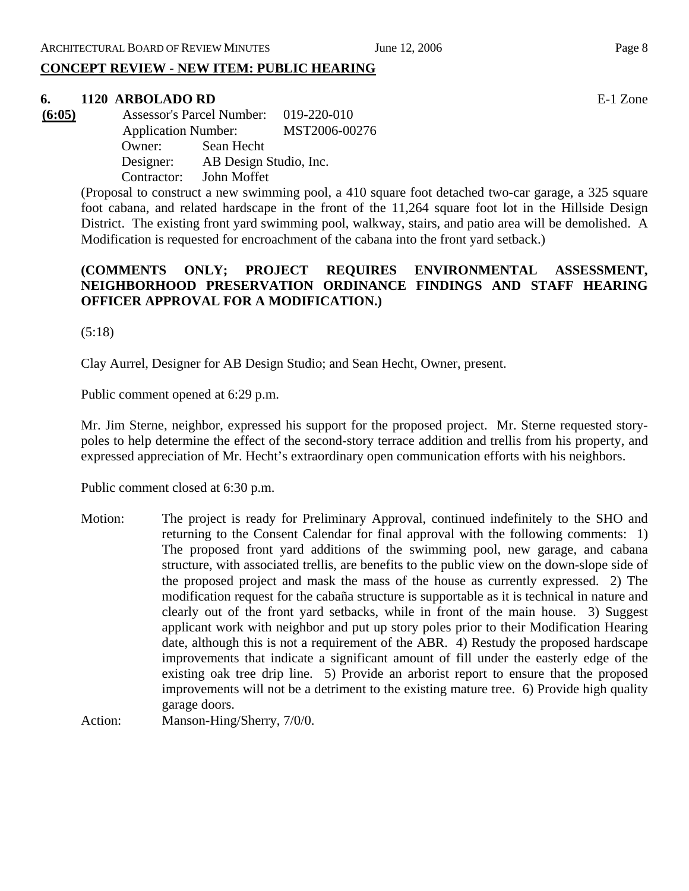# **CONCEPT REVIEW - NEW ITEM: PUBLIC HEARING**

# **6. 1120 ARBOLADO RD** E-1 Zone

**(6:05)** Assessor's Parcel Number: 019-220-010 Application Number: MST2006-00276 Owner: Sean Hecht Designer: AB Design Studio, Inc. Contractor: John Moffet

> (Proposal to construct a new swimming pool, a 410 square foot detached two-car garage, a 325 square foot cabana, and related hardscape in the front of the 11,264 square foot lot in the Hillside Design District. The existing front yard swimming pool, walkway, stairs, and patio area will be demolished. A Modification is requested for encroachment of the cabana into the front yard setback.)

# **(COMMENTS ONLY; PROJECT REQUIRES ENVIRONMENTAL ASSESSMENT, NEIGHBORHOOD PRESERVATION ORDINANCE FINDINGS AND STAFF HEARING OFFICER APPROVAL FOR A MODIFICATION.)**

(5:18)

Clay Aurrel, Designer for AB Design Studio; and Sean Hecht, Owner, present.

Public comment opened at 6:29 p.m.

Mr. Jim Sterne, neighbor, expressed his support for the proposed project. Mr. Sterne requested storypoles to help determine the effect of the second-story terrace addition and trellis from his property, and expressed appreciation of Mr. Hecht's extraordinary open communication efforts with his neighbors.

Public comment closed at 6:30 p.m.

Motion: The project is ready for Preliminary Approval, continued indefinitely to the SHO and returning to the Consent Calendar for final approval with the following comments: 1) The proposed front yard additions of the swimming pool, new garage, and cabana structure, with associated trellis, are benefits to the public view on the down-slope side of the proposed project and mask the mass of the house as currently expressed. 2) The modification request for the cabaña structure is supportable as it is technical in nature and clearly out of the front yard setbacks, while in front of the main house. 3) Suggest applicant work with neighbor and put up story poles prior to their Modification Hearing date, although this is not a requirement of the ABR. 4) Restudy the proposed hardscape improvements that indicate a significant amount of fill under the easterly edge of the existing oak tree drip line. 5) Provide an arborist report to ensure that the proposed improvements will not be a detriment to the existing mature tree. 6) Provide high quality garage doors.

Action: Manson-Hing/Sherry, 7/0/0.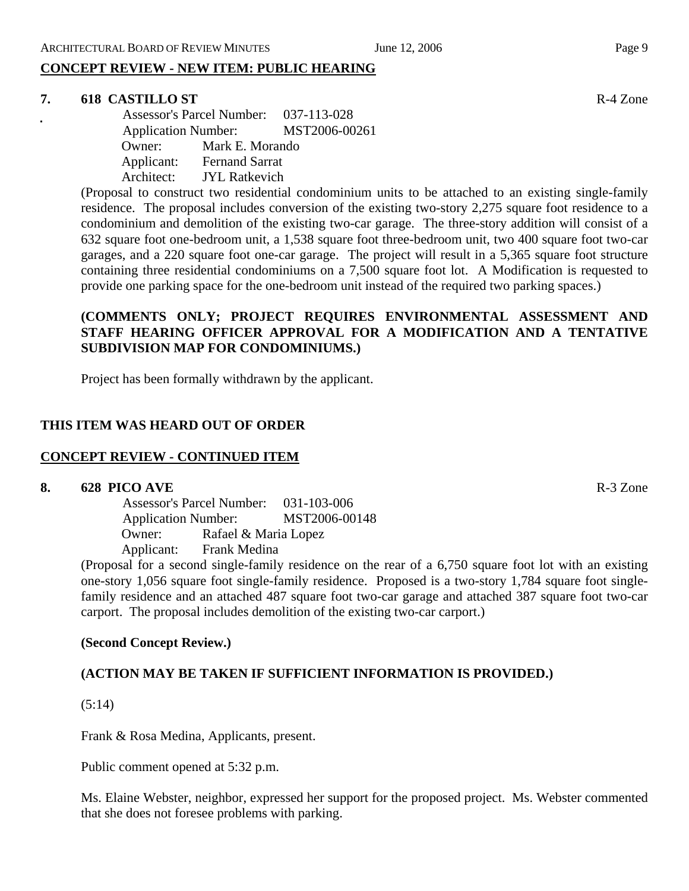# **CONCEPT REVIEW - NEW ITEM: PUBLIC HEARING**

#### **7. 618 CASTILLO ST** R-4 Zone

Assessor's Parcel Number: 037-113-028 Application Number: MST2006-00261 Owner: Mark E. Morando Applicant: Fernand Sarrat Architect: JYL Ratkevich

(Proposal to construct two residential condominium units to be attached to an existing single-family residence. The proposal includes conversion of the existing two-story 2,275 square foot residence to a condominium and demolition of the existing two-car garage. The three-story addition will consist of a 632 square foot one-bedroom unit, a 1,538 square foot three-bedroom unit, two 400 square foot two-car garages, and a 220 square foot one-car garage. The project will result in a 5,365 square foot structure containing three residential condominiums on a 7,500 square foot lot. A Modification is requested to provide one parking space for the one-bedroom unit instead of the required two parking spaces.)

# **(COMMENTS ONLY; PROJECT REQUIRES ENVIRONMENTAL ASSESSMENT AND STAFF HEARING OFFICER APPROVAL FOR A MODIFICATION AND A TENTATIVE SUBDIVISION MAP FOR CONDOMINIUMS.)**

Project has been formally withdrawn by the applicant.

# **THIS ITEM WAS HEARD OUT OF ORDER**

#### **CONCEPT REVIEW - CONTINUED ITEM**

#### **8. 628 PICO AVE** R-3 Zone

 Assessor's Parcel Number: 031-103-006 Application Number: MST2006-00148 Owner: Rafael & Maria Lopez Applicant: Frank Medina

(Proposal for a second single-family residence on the rear of a 6,750 square foot lot with an existing one-story 1,056 square foot single-family residence. Proposed is a two-story 1,784 square foot singlefamily residence and an attached 487 square foot two-car garage and attached 387 square foot two-car carport. The proposal includes demolition of the existing two-car carport.)

# **(Second Concept Review.)**

# **(ACTION MAY BE TAKEN IF SUFFICIENT INFORMATION IS PROVIDED.)**

(5:14)

Frank & Rosa Medina, Applicants, present.

Public comment opened at 5:32 p.m.

Ms. Elaine Webster, neighbor, expressed her support for the proposed project. Ms. Webster commented that she does not foresee problems with parking.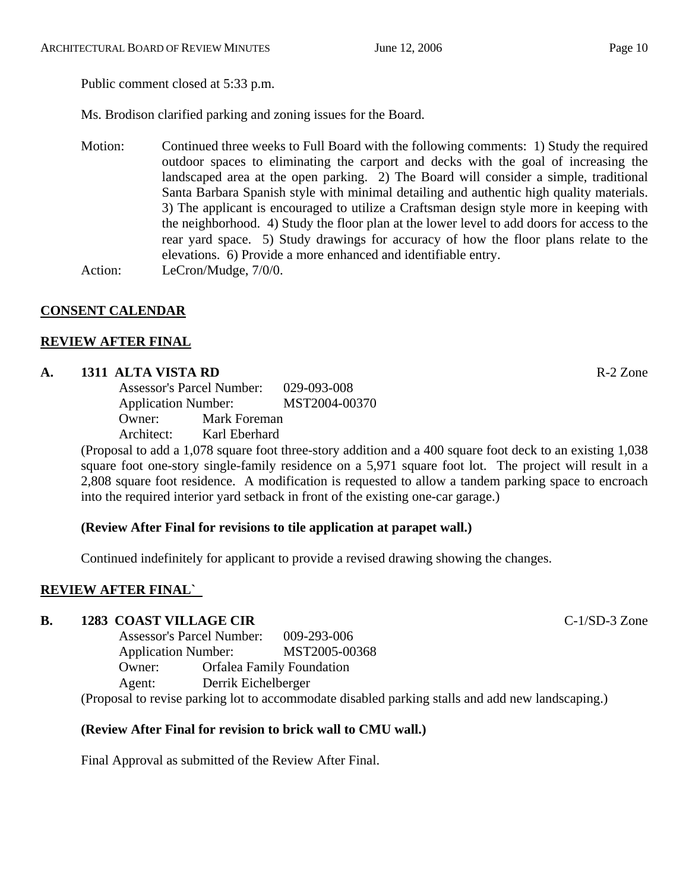Ms. Brodison clarified parking and zoning issues for the Board.

Motion: Continued three weeks to Full Board with the following comments: 1) Study the required outdoor spaces to eliminating the carport and decks with the goal of increasing the landscaped area at the open parking. 2) The Board will consider a simple, traditional Santa Barbara Spanish style with minimal detailing and authentic high quality materials. 3) The applicant is encouraged to utilize a Craftsman design style more in keeping with the neighborhood. 4) Study the floor plan at the lower level to add doors for access to the rear yard space. 5) Study drawings for accuracy of how the floor plans relate to the elevations. 6) Provide a more enhanced and identifiable entry. Action: LeCron/Mudge, 7/0/0.

# **CONSENT CALENDAR**

### **REVIEW AFTER FINAL**

#### **A. 1311 ALTA VISTA RD** R-2 Zone

Assessor's Parcel Number: 029-093-008 Application Number: MST2004-00370 Owner: Mark Foreman Architect: Karl Eberhard

(Proposal to add a 1,078 square foot three-story addition and a 400 square foot deck to an existing 1,038 square foot one-story single-family residence on a 5,971 square foot lot. The project will result in a 2,808 square foot residence. A modification is requested to allow a tandem parking space to encroach into the required interior yard setback in front of the existing one-car garage.)

#### **(Review After Final for revisions to tile application at parapet wall.)**

Continued indefinitely for applicant to provide a revised drawing showing the changes.

# **REVIEW AFTER FINAL`**

#### **B. 1283 COAST VILLAGE CIR COAST COAST VILLAGE CIR C**-1/SD-3 Zone

Assessor's Parcel Number: 009-293-006 Application Number: MST2005-00368 Owner: Orfalea Family Foundation Agent: Derrik Eichelberger (Proposal to revise parking lot to accommodate disabled parking stalls and add new landscaping.)

#### **(Review After Final for revision to brick wall to CMU wall.)**

Final Approval as submitted of the Review After Final.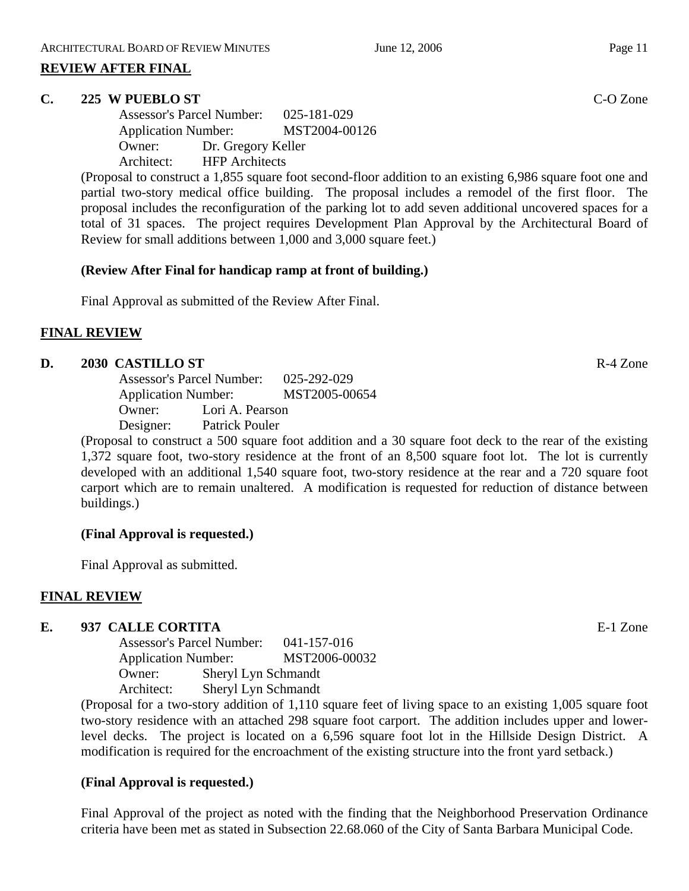#### **REVIEW AFTER FINAL**

#### **C. 225 W PUEBLO ST** C-O Zone

Assessor's Parcel Number: 025-181-029 Application Number: MST2004-00126 Owner: Dr. Gregory Keller Architect: HFP Architects

(Proposal to construct a 1,855 square foot second-floor addition to an existing 6,986 square foot one and partial two-story medical office building. The proposal includes a remodel of the first floor. The proposal includes the reconfiguration of the parking lot to add seven additional uncovered spaces for a total of 31 spaces. The project requires Development Plan Approval by the Architectural Board of Review for small additions between 1,000 and 3,000 square feet.)

### **(Review After Final for handicap ramp at front of building.)**

Final Approval as submitted of the Review After Final.

### **FINAL REVIEW**

### **D. 2030 CASTILLO ST** R-4 Zone

Assessor's Parcel Number: 025-292-029 Application Number: MST2005-00654 Owner: Lori A. Pearson Designer: Patrick Pouler

(Proposal to construct a 500 square foot addition and a 30 square foot deck to the rear of the existing 1,372 square foot, two-story residence at the front of an 8,500 square foot lot. The lot is currently developed with an additional 1,540 square foot, two-story residence at the rear and a 720 square foot carport which are to remain unaltered. A modification is requested for reduction of distance between buildings.)

#### **(Final Approval is requested.)**

Final Approval as submitted.

#### **FINAL REVIEW**

# **E. 937 CALLE CORTITA** E-1 Zone

Assessor's Parcel Number: 041-157-016 Application Number: MST2006-00032 Owner: Sheryl Lyn Schmandt Architect: Sheryl Lyn Schmandt

(Proposal for a two-story addition of 1,110 square feet of living space to an existing 1,005 square foot two-story residence with an attached 298 square foot carport. The addition includes upper and lowerlevel decks. The project is located on a 6,596 square foot lot in the Hillside Design District. A modification is required for the encroachment of the existing structure into the front yard setback.)

# **(Final Approval is requested.)**

Final Approval of the project as noted with the finding that the Neighborhood Preservation Ordinance criteria have been met as stated in Subsection 22.68.060 of the City of Santa Barbara Municipal Code.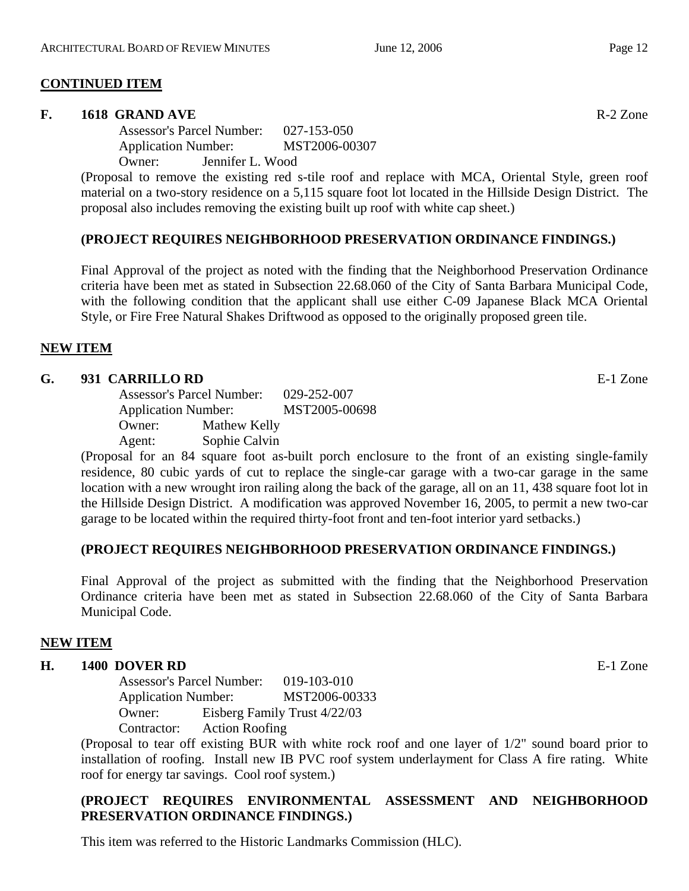#### **CONTINUED ITEM**

#### **F. 1618 GRAND AVE** R-2 Zone

Assessor's Parcel Number: 027-153-050 Application Number: MST2006-00307

Owner: Jennifer L. Wood

(Proposal to remove the existing red s-tile roof and replace with MCA, Oriental Style, green roof material on a two-story residence on a 5,115 square foot lot located in the Hillside Design District. The proposal also includes removing the existing built up roof with white cap sheet.)

#### **(PROJECT REQUIRES NEIGHBORHOOD PRESERVATION ORDINANCE FINDINGS.)**

Final Approval of the project as noted with the finding that the Neighborhood Preservation Ordinance criteria have been met as stated in Subsection 22.68.060 of the City of Santa Barbara Municipal Code, with the following condition that the applicant shall use either C-09 Japanese Black MCA Oriental Style, or Fire Free Natural Shakes Driftwood as opposed to the originally proposed green tile.

#### **NEW ITEM**

#### **G. 931 CARRILLO RD** E-1 Zone

Assessor's Parcel Number: 029-252-007 Application Number: MST2005-00698 Owner: Mathew Kelly Agent: Sophie Calvin

(Proposal for an 84 square foot as-built porch enclosure to the front of an existing single-family residence, 80 cubic yards of cut to replace the single-car garage with a two-car garage in the same location with a new wrought iron railing along the back of the garage, all on an 11, 438 square foot lot in the Hillside Design District. A modification was approved November 16, 2005, to permit a new two-car garage to be located within the required thirty-foot front and ten-foot interior yard setbacks.)

#### **(PROJECT REQUIRES NEIGHBORHOOD PRESERVATION ORDINANCE FINDINGS.)**

Final Approval of the project as submitted with the finding that the Neighborhood Preservation Ordinance criteria have been met as stated in Subsection 22.68.060 of the City of Santa Barbara Municipal Code.

#### **NEW ITEM**

#### **H. 1400 DOVER RD** E-1 Zone

Assessor's Parcel Number: 019-103-010 Application Number: MST2006-00333 Owner: Eisberg Family Trust 4/22/03 Contractor: Action Roofing

(Proposal to tear off existing BUR with white rock roof and one layer of 1/2" sound board prior to installation of roofing. Install new IB PVC roof system underlayment for Class A fire rating. White roof for energy tar savings. Cool roof system.)

# **(PROJECT REQUIRES ENVIRONMENTAL ASSESSMENT AND NEIGHBORHOOD PRESERVATION ORDINANCE FINDINGS.)**

This item was referred to the Historic Landmarks Commission (HLC).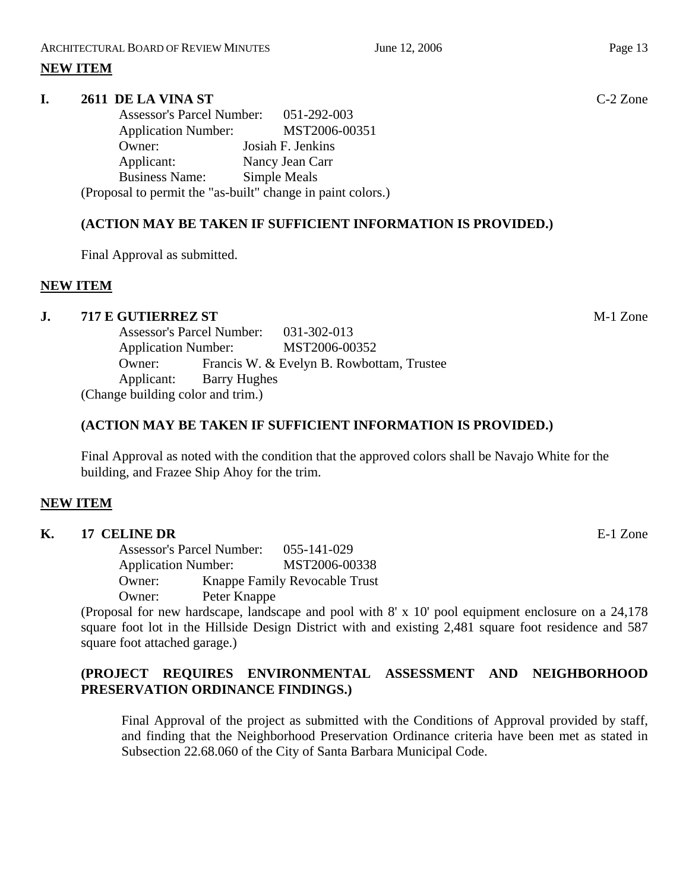### **NEW ITEM**

#### **I. 2611 DE LA VINA ST** C-2 Zone

Assessor's Parcel Number: 051-292-003 Application Number: MST2006-00351 Owner: Josiah F. Jenkins Applicant: Nancy Jean Carr Business Name: Simple Meals (Proposal to permit the "as-built" change in paint colors.)

# **(ACTION MAY BE TAKEN IF SUFFICIENT INFORMATION IS PROVIDED.)**

Final Approval as submitted.

### **NEW ITEM**

#### **J. 717 E GUTIERREZ ST** M-1 Zone

Assessor's Parcel Number: 031-302-013 Application Number: MST2006-00352 Owner: Francis W. & Evelyn B. Rowbottam, Trustee Applicant: Barry Hughes (Change building color and trim.)

#### **(ACTION MAY BE TAKEN IF SUFFICIENT INFORMATION IS PROVIDED.)**

Final Approval as noted with the condition that the approved colors shall be Navajo White for the building, and Frazee Ship Ahoy for the trim.

#### **NEW ITEM**

#### **K. 17 CELINE DR** E-1 Zone

Assessor's Parcel Number: 055-141-029 Application Number: MST2006-00338 Owner: Knappe Family Revocable Trust Owner: Peter Knappe

(Proposal for new hardscape, landscape and pool with 8' x 10' pool equipment enclosure on a 24,178 square foot lot in the Hillside Design District with and existing 2,481 square foot residence and 587 square foot attached garage.)

# **(PROJECT REQUIRES ENVIRONMENTAL ASSESSMENT AND NEIGHBORHOOD PRESERVATION ORDINANCE FINDINGS.)**

Final Approval of the project as submitted with the Conditions of Approval provided by staff, and finding that the Neighborhood Preservation Ordinance criteria have been met as stated in Subsection 22.68.060 of the City of Santa Barbara Municipal Code.